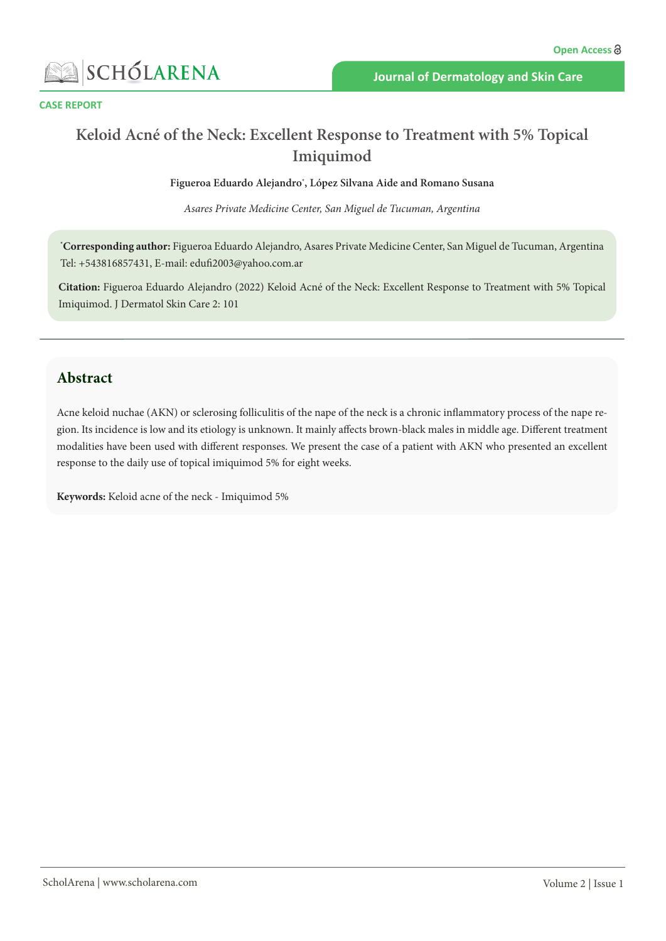

#### **CASE REPORT**

# **Keloid Acné of the Neck: Excellent Response to Treatment with 5% Topical Imiquimod**

**Figueroa Eduardo Alejandro\* , López Silvana Aide and Romano Susana**

*Asares Private Medicine Center, San Miguel de Tucuman, Argentina*

**\* Corresponding author:** Figueroa Eduardo Alejandro, Asares Private Medicine Center, San Miguel de Tucuman, Argentina Tel: +543816857431, E-mail: edufi2003@yahoo.com.ar

**Citation:** Figueroa Eduardo Alejandro (2022) Keloid Acné of the Neck: Excellent Response to Treatment with 5% Topical Imiquimod. J Dermatol Skin Care 2: 101

### **Abstract**

Acne keloid nuchae (AKN) or sclerosing folliculitis of the nape of the neck is a chronic inflammatory process of the nape region. Its incidence is low and its etiology is unknown. It mainly affects brown-black males in middle age. Different treatment modalities have been used with different responses. We present the case of a patient with AKN who presented an excellent response to the daily use of topical imiquimod 5% for eight weeks.

**Keywords:** Keloid acne of the neck - Imiquimod 5%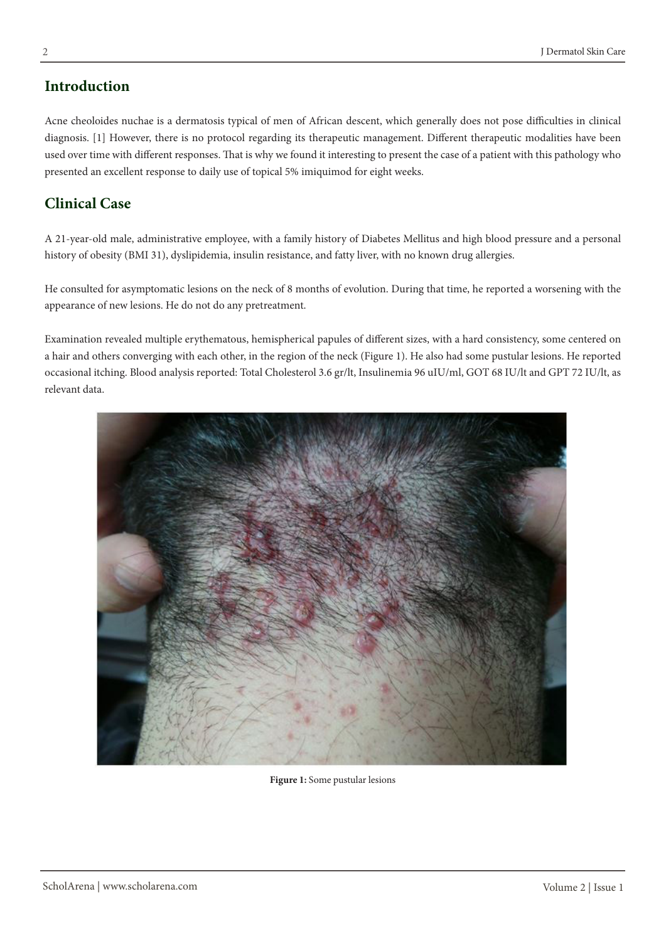## **Introduction**

Acne cheoloides nuchae is a dermatosis typical of men of African descent, which generally does not pose difficulties in clinical diagnosis. [1] However, there is no protocol regarding its therapeutic management. Different therapeutic modalities have been used over time with different responses. That is why we found it interesting to present the case of a patient with this pathology who presented an excellent response to daily use of topical 5% imiquimod for eight weeks.

## **Clinical Case**

A 21-year-old male, administrative employee, with a family history of Diabetes Mellitus and high blood pressure and a personal history of obesity (BMI 31), dyslipidemia, insulin resistance, and fatty liver, with no known drug allergies.

He consulted for asymptomatic lesions on the neck of 8 months of evolution. During that time, he reported a worsening with the appearance of new lesions. He do not do any pretreatment.

Examination revealed multiple erythematous, hemispherical papules of different sizes, with a hard consistency, some centered on a hair and others converging with each other, in the region of the neck (Figure 1). He also had some pustular lesions. He reported occasional itching. Blood analysis reported: Total Cholesterol 3.6 gr/lt, Insulinemia 96 uIU/ml, GOT 68 IU/lt and GPT 72 IU/lt, as relevant data.



**Figure 1:** Some pustular lesions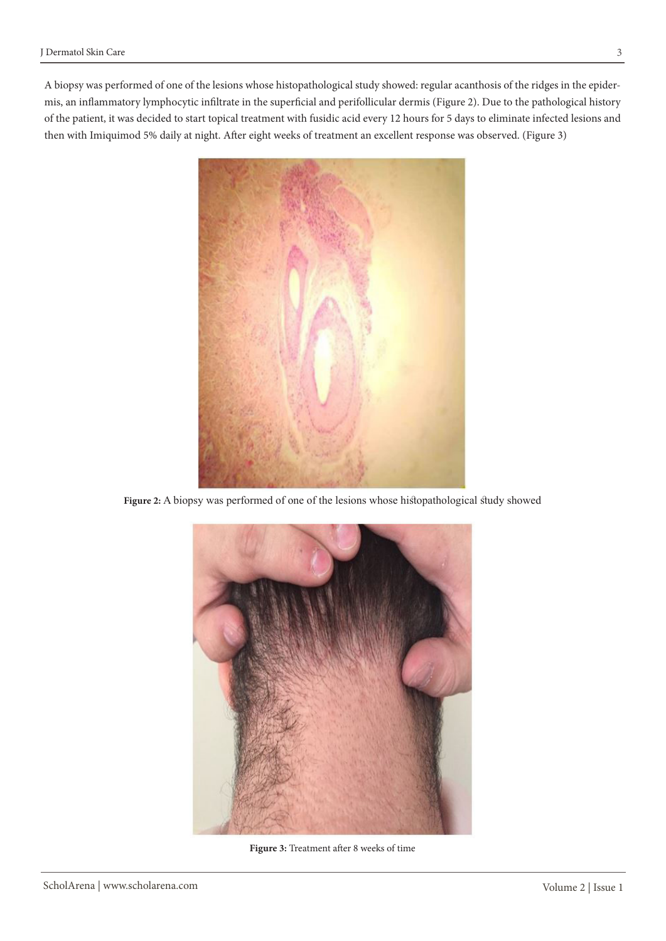A biopsy was performed of one of the lesions whose histopathological study showed: regular acanthosis of the ridges in the epidermis, an inflammatory lymphocytic infiltrate in the superficial and perifollicular dermis (Figure 2). Due to the pathological history of the patient, it was decided to start topical treatment with fusidic acid every 12 hours for 5 days to eliminate infected lesions and then with Imiquimod 5% daily at night. After eight weeks of treatment an excellent response was observed. (Figure 3)



**Figure 2:** A biopsy was performed of one of the lesions whose histopathological study showed



**Figure 3:** Treatment after 8 weeks of time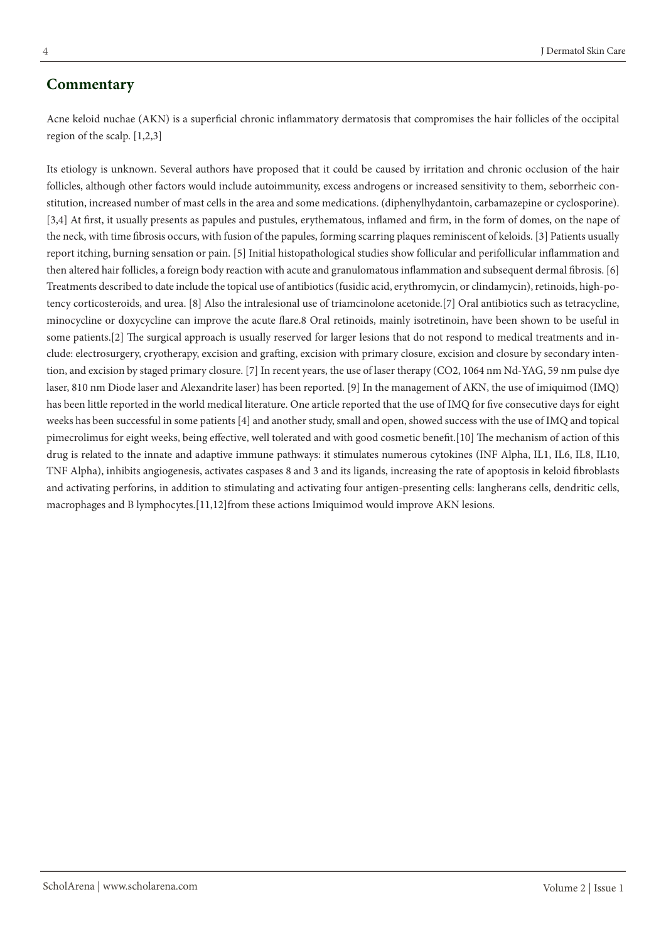#### **Commentary**

Acne keloid nuchae (AKN) is a superficial chronic inflammatory dermatosis that compromises the hair follicles of the occipital region of the scalp. [1,2,3]

Its etiology is unknown. Several authors have proposed that it could be caused by irritation and chronic occlusion of the hair follicles, although other factors would include autoimmunity, excess androgens or increased sensitivity to them, seborrheic constitution, increased number of mast cells in the area and some medications. (diphenylhydantoin, carbamazepine or cyclosporine). [3,4] At first, it usually presents as papules and pustules, erythematous, inflamed and firm, in the form of domes, on the nape of the neck, with time fibrosis occurs, with fusion of the papules, forming scarring plaques reminiscent of keloids. [3] Patients usually report itching, burning sensation or pain. [5] Initial histopathological studies show follicular and perifollicular inflammation and then altered hair follicles, a foreign body reaction with acute and granulomatous inflammation and subsequent dermal fibrosis. [6] Treatments described to date include the topical use of antibiotics (fusidic acid, erythromycin, or clindamycin), retinoids, high-potency corticosteroids, and urea. [8] Also the intralesional use of triamcinolone acetonide.[7] Oral antibiotics such as tetracycline, minocycline or doxycycline can improve the acute flare.8 Oral retinoids, mainly isotretinoin, have been shown to be useful in some patients.[2] The surgical approach is usually reserved for larger lesions that do not respond to medical treatments and include: electrosurgery, cryotherapy, excision and grafting, excision with primary closure, excision and closure by secondary intention, and excision by staged primary closure. [7] In recent years, the use of laser therapy (CO2, 1064 nm Nd-YAG, 59 nm pulse dye laser, 810 nm Diode laser and Alexandrite laser) has been reported. [9] In the management of AKN, the use of imiquimod (IMQ) has been little reported in the world medical literature. One article reported that the use of IMQ for five consecutive days for eight weeks has been successful in some patients [4] and another study, small and open, showed success with the use of IMQ and topical pimecrolimus for eight weeks, being effective, well tolerated and with good cosmetic benefit.[10] The mechanism of action of this drug is related to the innate and adaptive immune pathways: it stimulates numerous cytokines (INF Alpha, IL1, IL6, IL8, IL10, TNF Alpha), inhibits angiogenesis, activates caspases 8 and 3 and its ligands, increasing the rate of apoptosis in keloid fibroblasts and activating perforins, in addition to stimulating and activating four antigen-presenting cells: langherans cells, dendritic cells, macrophages and B lymphocytes.[11,12]from these actions Imiquimod would improve AKN lesions.